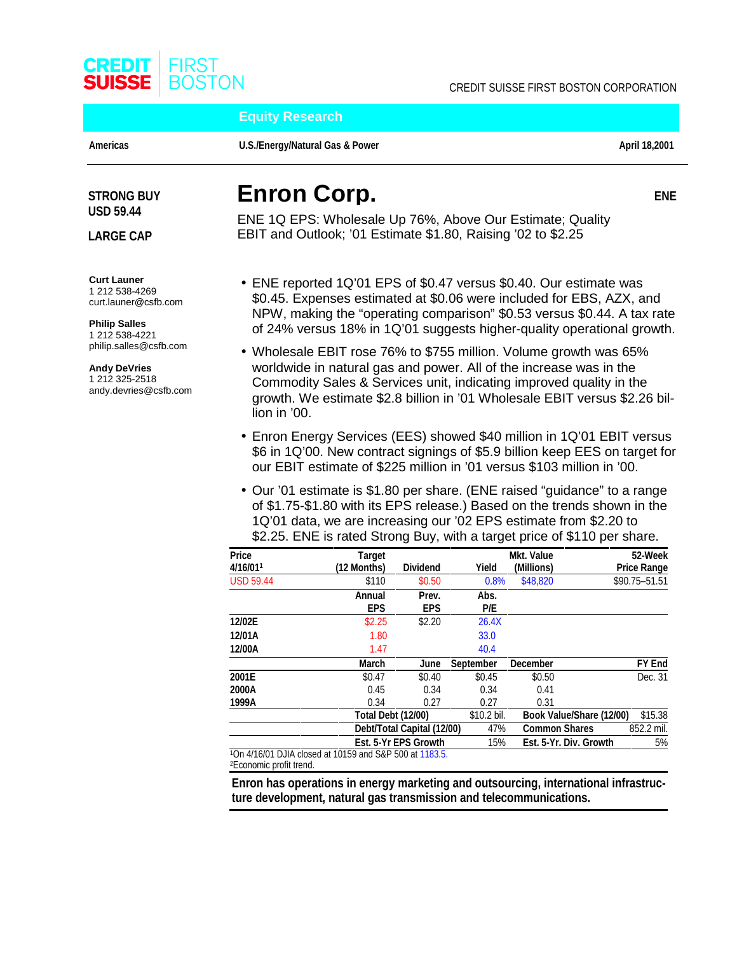

**Equity Research**

Americas **Construction Construction Construction Construction Construction Construction Construction April 18,2001** 

**ENE**

# **USD 59.44**

**LARGE CAP**

**Curt Launer** 1 212 538-4269 curt.launer@csfb.com

**Philip Salles** 1 212 538-4221 philip.salles@csfb.com

**Andy DeVries** 1 212 325-2518 andy.devries@csfb.com

# **STRONG BUY Enron Corp.**

ENE 1Q EPS: Wholesale Up 76%, Above Our Estimate; Quality EBIT and Outlook; '01 Estimate \$1.80, Raising '02 to \$2.25

- ENE reported 1Q'01 EPS of \$0.47 versus \$0.40. Our estimate was \$0.45. Expenses estimated at \$0.06 were included for EBS, AZX, and NPW, making the "operating comparison" \$0.53 versus \$0.44. A tax rate of 24% versus 18% in 1Q'01 suggests higher-quality operational growth.
- Wholesale EBIT rose 76% to \$755 million. Volume growth was 65% worldwide in natural gas and power. All of the increase was in the Commodity Sales & Services unit, indicating improved quality in the growth. We estimate \$2.8 billion in '01 Wholesale EBIT versus \$2.26 billion in '00.
- Enron Energy Services (EES) showed \$40 million in 1Q'01 EBIT versus \$6 in 1Q'00. New contract signings of \$5.9 billion keep EES on target for our EBIT estimate of \$225 million in '01 versus \$103 million in '00.
- Our '01 estimate is \$1.80 per share. (ENE raised "guidance" to a range of \$1.75-\$1.80 with its EPS release.) Based on the trends shown in the 1Q'01 data, we are increasing our '02 EPS estimate from \$2.20 to \$2.25. ENE is rated Strong Buy, with a target price of \$110 per share.

| <b>Price</b>     | <b>Target</b>                                                       |                            |                  | <b>Mkt. Value</b> | 52-Week                             |
|------------------|---------------------------------------------------------------------|----------------------------|------------------|-------------------|-------------------------------------|
| 4/16/011         | (12 Months)                                                         | <b>Dividend</b>            | Yield            | (Millions)        | <b>Price Range</b>                  |
| <b>USD 59.44</b> | \$110                                                               | \$0.50                     | 0.8%             | \$48,820          | \$90.75-51.51                       |
|                  | Annual                                                              | Prev.                      | Abs.             |                   |                                     |
|                  | <b>EPS</b>                                                          | <b>EPS</b>                 | P/E              |                   |                                     |
| 12/02E           | \$2.25                                                              | \$2.20                     | 26.4X            |                   |                                     |
| 12/01A           | 1.80                                                                |                            | 33.0             |                   |                                     |
| 12/00A           | 1.47                                                                |                            | 40.4             |                   |                                     |
|                  | March                                                               | June                       | <b>September</b> | <b>December</b>   | FY End                              |
| 2001E            | \$0.47                                                              | \$0.40                     | \$0.45           | \$0.50            | Dec. 31                             |
| 2000A            | 0.45                                                                | 0.34                       | 0.34             | 0.41              |                                     |
| 1999A            | 0.34                                                                | 0.27                       | 0.27             | 0.31              |                                     |
|                  | <b>Total Debt (12/00)</b>                                           |                            | \$10.2 bil.      |                   | \$15.38<br>Book Value/Share (12/00) |
|                  |                                                                     | Debt/Total Capital (12/00) |                  |                   | <b>Common Shares</b><br>852.2 mil.  |
|                  |                                                                     | Est. 5-Yr EPS Growth       | 15%              |                   | 5%<br>Est. 5-Yr. Div. Growth        |
|                  | <sup>1</sup> On 4/16/01 DJIA closed at 10159 and S&P 500 at 1183.5. |                            |                  |                   |                                     |

2Economic profit trend.

**Enron has operations in energy marketing and outsourcing, international infrastructure development, natural gas transmission and telecommunications.**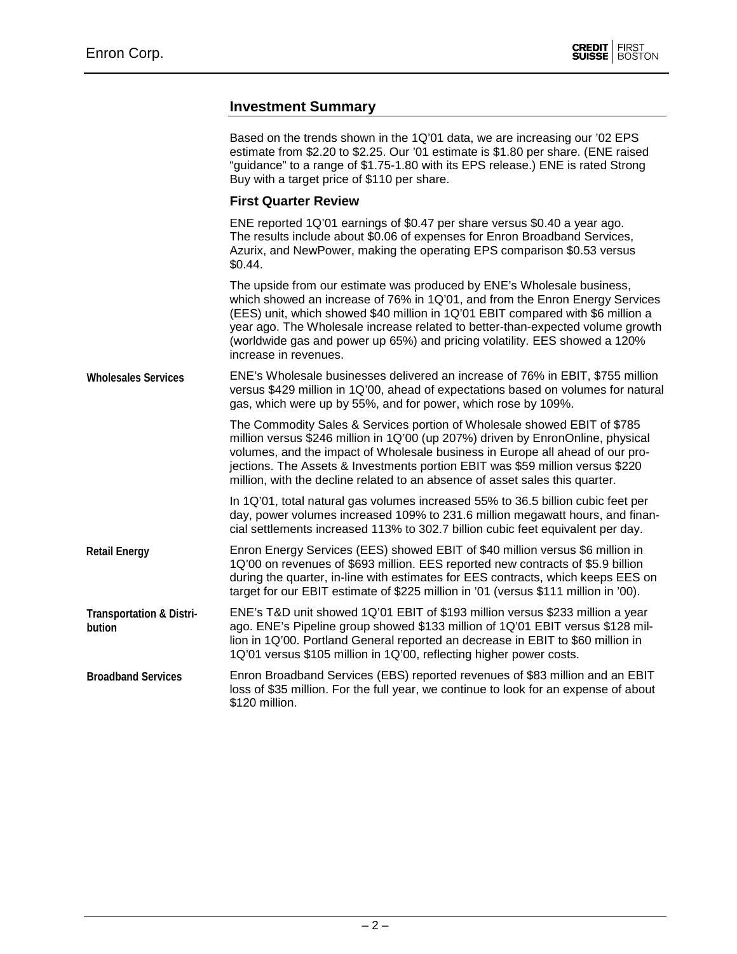### **Investment Summary**

|                                               | Based on the trends shown in the 1Q'01 data, we are increasing our '02 EPS<br>estimate from \$2.20 to \$2.25. Our '01 estimate is \$1.80 per share. (ENE raised<br>"guidance" to a range of \$1.75-1.80 with its EPS release.) ENE is rated Strong<br>Buy with a target price of \$110 per share.                                                                                                                                  |  |  |  |  |  |
|-----------------------------------------------|------------------------------------------------------------------------------------------------------------------------------------------------------------------------------------------------------------------------------------------------------------------------------------------------------------------------------------------------------------------------------------------------------------------------------------|--|--|--|--|--|
|                                               | <b>First Quarter Review</b>                                                                                                                                                                                                                                                                                                                                                                                                        |  |  |  |  |  |
|                                               | ENE reported 1Q'01 earnings of \$0.47 per share versus \$0.40 a year ago.<br>The results include about \$0.06 of expenses for Enron Broadband Services,<br>Azurix, and NewPower, making the operating EPS comparison \$0.53 versus<br>\$0.44.                                                                                                                                                                                      |  |  |  |  |  |
|                                               | The upside from our estimate was produced by ENE's Wholesale business,<br>which showed an increase of 76% in 1Q'01, and from the Enron Energy Services<br>(EES) unit, which showed \$40 million in 1Q'01 EBIT compared with \$6 million a<br>year ago. The Wholesale increase related to better-than-expected volume growth<br>(worldwide gas and power up 65%) and pricing volatility. EES showed a 120%<br>increase in revenues. |  |  |  |  |  |
| <b>Wholesales Services</b>                    | ENE's Wholesale businesses delivered an increase of 76% in EBIT, \$755 million<br>versus \$429 million in 1Q'00, ahead of expectations based on volumes for natural<br>gas, which were up by 55%, and for power, which rose by 109%.                                                                                                                                                                                               |  |  |  |  |  |
|                                               | The Commodity Sales & Services portion of Wholesale showed EBIT of \$785<br>million versus \$246 million in 1Q'00 (up 207%) driven by EnronOnline, physical<br>volumes, and the impact of Wholesale business in Europe all ahead of our pro-<br>jections. The Assets & Investments portion EBIT was \$59 million versus \$220<br>million, with the decline related to an absence of asset sales this quarter.                      |  |  |  |  |  |
|                                               | In 1Q'01, total natural gas volumes increased 55% to 36.5 billion cubic feet per<br>day, power volumes increased 109% to 231.6 million megawatt hours, and finan-<br>cial settlements increased 113% to 302.7 billion cubic feet equivalent per day.                                                                                                                                                                               |  |  |  |  |  |
| <b>Retail Energy</b>                          | Enron Energy Services (EES) showed EBIT of \$40 million versus \$6 million in<br>1Q'00 on revenues of \$693 million. EES reported new contracts of \$5.9 billion<br>during the quarter, in-line with estimates for EES contracts, which keeps EES on<br>target for our EBIT estimate of \$225 million in '01 (versus \$111 million in '00).                                                                                        |  |  |  |  |  |
| <b>Transportation &amp; Distri-</b><br>bution | ENE's T&D unit showed 1Q'01 EBIT of \$193 million versus \$233 million a year<br>ago. ENE's Pipeline group showed \$133 million of 1Q'01 EBIT versus \$128 mil-<br>lion in 1Q'00. Portland General reported an decrease in EBIT to \$60 million in<br>1Q'01 versus \$105 million in 1Q'00, reflecting higher power costs.                                                                                                          |  |  |  |  |  |
| <b>Broadband Services</b>                     | Enron Broadband Services (EBS) reported revenues of \$83 million and an EBIT<br>loss of \$35 million. For the full year, we continue to look for an expense of about<br>\$120 million.                                                                                                                                                                                                                                             |  |  |  |  |  |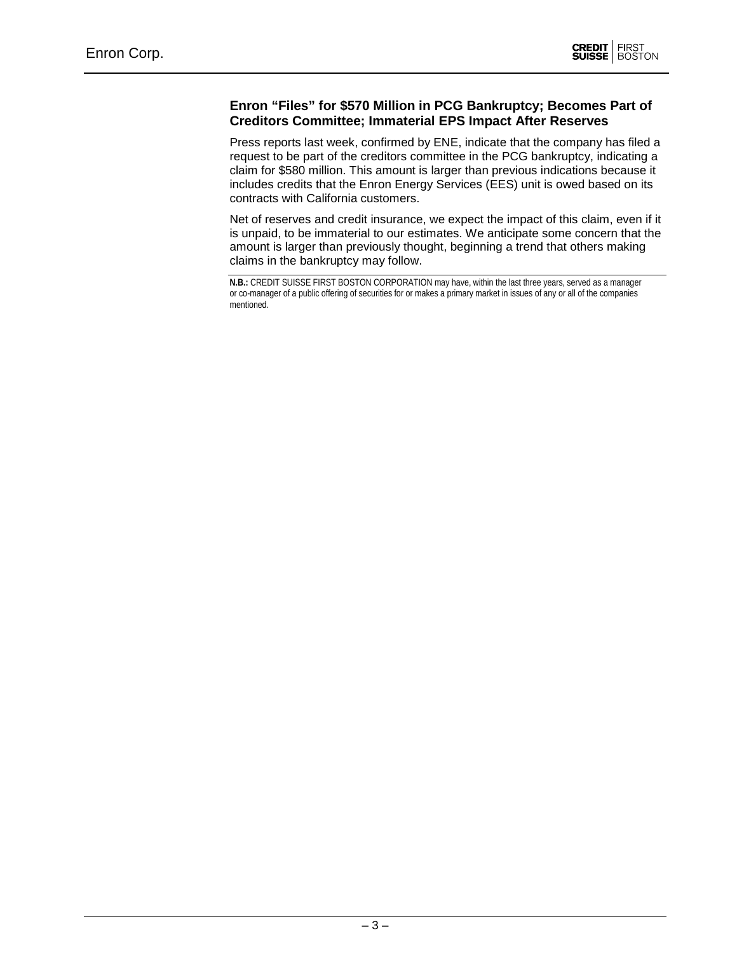### **Enron "Files" for \$570 Million in PCG Bankruptcy; Becomes Part of Creditors Committee; Immaterial EPS Impact After Reserves**

Press reports last week, confirmed by ENE, indicate that the company has filed a request to be part of the creditors committee in the PCG bankruptcy, indicating a claim for \$580 million. This amount is larger than previous indications because it includes credits that the Enron Energy Services (EES) unit is owed based on its contracts with California customers.

Net of reserves and credit insurance, we expect the impact of this claim, even if it is unpaid, to be immaterial to our estimates. We anticipate some concern that the amount is larger than previously thought, beginning a trend that others making claims in the bankruptcy may follow.

**N.B.:** CREDIT SUISSE FIRST BOSTON CORPORATION may have, within the last three years, served as a manager or co-manager of a public offering of securities for or makes a primary market in issues of any or all of the companies mentioned.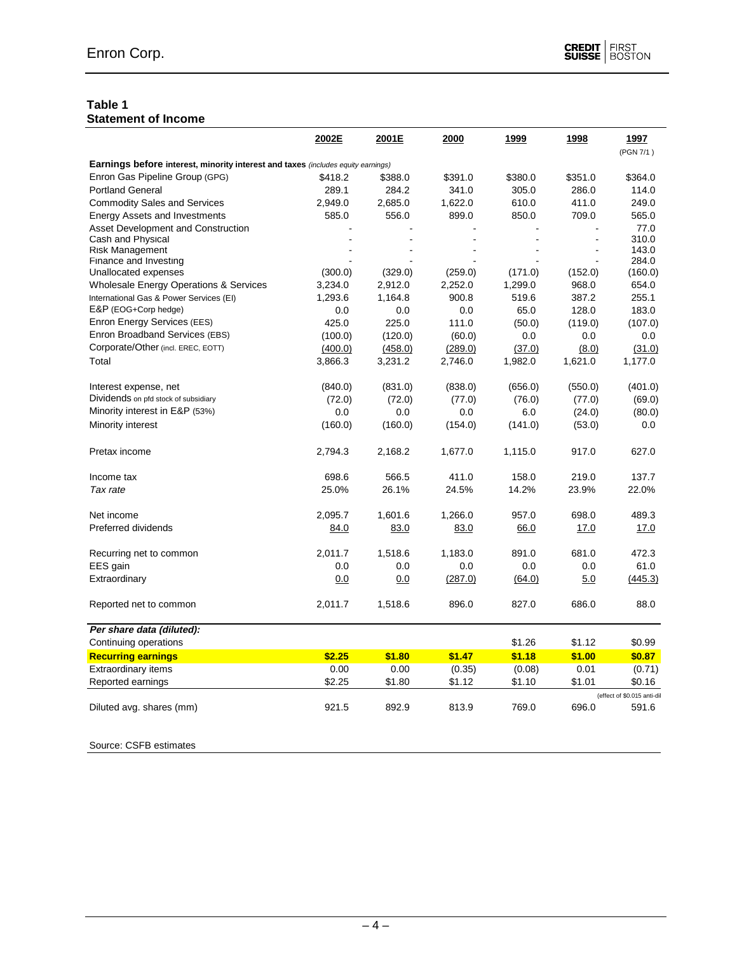#### **Table 1 Statement of Income**

|                                                                                         | 2002E   | 2001E   | 2000    | 1999    | 1998    | 1997<br>(PGN 7/1)           |
|-----------------------------------------------------------------------------------------|---------|---------|---------|---------|---------|-----------------------------|
| <b>Earnings before interest, minority interest and taxes (includes equity earnings)</b> |         |         |         |         |         |                             |
| Enron Gas Pipeline Group (GPG)                                                          | \$418.2 | \$388.0 | \$391.0 | \$380.0 | \$351.0 | \$364.0                     |
| <b>Portland General</b>                                                                 | 289.1   | 284.2   | 341.0   | 305.0   | 286.0   | 114.0                       |
| <b>Commodity Sales and Services</b>                                                     | 2,949.0 | 2,685.0 | 1,622.0 | 610.0   | 411.0   | 249.0                       |
| <b>Energy Assets and Investments</b>                                                    | 585.0   | 556.0   | 899.0   | 850.0   | 709.0   | 565.0                       |
| Asset Development and Construction                                                      |         |         |         |         |         | 77.0                        |
| Cash and Physical                                                                       |         |         |         |         |         | 310.0                       |
| <b>Risk Management</b>                                                                  |         |         |         |         |         | 143.0                       |
| Finance and Investing<br>Unallocated expenses                                           | (300.0) | (329.0) | (259.0) | (171.0) | (152.0) | 284.0<br>(160.0)            |
| Wholesale Energy Operations & Services                                                  | 3,234.0 | 2,912.0 | 2,252.0 | 1,299.0 | 968.0   | 654.0                       |
| International Gas & Power Services (EI)                                                 | 1,293.6 | 1,164.8 | 900.8   | 519.6   | 387.2   | 255.1                       |
| E&P (EOG+Corp hedge)                                                                    | 0.0     | 0.0     | 0.0     | 65.0    | 128.0   | 183.0                       |
| Enron Energy Services (EES)                                                             | 425.0   | 225.0   | 111.0   | (50.0)  | (119.0) | (107.0)                     |
| Enron Broadband Services (EBS)                                                          | (100.0) | (120.0) | (60.0)  | 0.0     | 0.0     | 0.0                         |
| Corporate/Other (incl. EREC, EOTT)                                                      | (400.0) | (458.0) | (289.0) | (37.0)  | (8.0)   | (31.0)                      |
| Total                                                                                   | 3,866.3 | 3,231.2 | 2,746.0 | 1,982.0 | 1,621.0 | 1,177.0                     |
|                                                                                         |         |         |         |         |         |                             |
| Interest expense, net                                                                   | (840.0) | (831.0) | (838.0) | (656.0) | (550.0) | (401.0)                     |
| Dividends on pfd stock of subsidiary                                                    | (72.0)  | (72.0)  | (77.0)  | (76.0)  | (77.0)  | (69.0)                      |
| Minority interest in E&P (53%)                                                          | 0.0     | 0.0     | 0.0     | 6.0     | (24.0)  | (80.0)                      |
| Minority interest                                                                       | (160.0) | (160.0) | (154.0) | (141.0) | (53.0)  | 0.0                         |
|                                                                                         |         |         |         |         |         |                             |
| Pretax income                                                                           | 2,794.3 | 2,168.2 | 1,677.0 | 1,115.0 | 917.0   | 627.0                       |
| Income tax                                                                              | 698.6   | 566.5   | 411.0   | 158.0   | 219.0   | 137.7                       |
| Tax rate                                                                                | 25.0%   | 26.1%   | 24.5%   | 14.2%   | 23.9%   | 22.0%                       |
|                                                                                         |         |         |         |         |         |                             |
| Net income                                                                              | 2,095.7 | 1,601.6 | 1,266.0 | 957.0   | 698.0   | 489.3                       |
| Preferred dividends                                                                     | 84.0    | 83.0    | 83.0    | 66.0    | 17.0    | 17.0                        |
|                                                                                         |         |         |         |         |         |                             |
| Recurring net to common                                                                 | 2,011.7 | 1,518.6 | 1,183.0 | 891.0   | 681.0   | 472.3                       |
| EES gain                                                                                | 0.0     | 0.0     | 0.0     | 0.0     | 0.0     | 61.0                        |
| Extraordinary                                                                           | 0.0     | 0.0     | (287.0) | (64.0)  | 5.0     | (445.3)                     |
| Reported net to common                                                                  | 2,011.7 | 1,518.6 | 896.0   | 827.0   | 686.0   | 88.0                        |
| Per share data (diluted):                                                               |         |         |         |         |         |                             |
| Continuing operations                                                                   |         |         |         | \$1.26  | \$1.12  | \$0.99                      |
| <b>Recurring earnings</b>                                                               | \$2.25  | \$1.80  | \$1.47  | \$1.18  | \$1.00  | \$0.87                      |
| Extraordinary items                                                                     | 0.00    | 0.00    | (0.35)  | (0.08)  | 0.01    | (0.71)                      |
| Reported earnings                                                                       | \$2.25  | \$1.80  | \$1.12  | \$1.10  | \$1.01  | \$0.16                      |
|                                                                                         |         |         |         |         |         | (effect of \$0.015 anti-dil |
| Diluted avg. shares (mm)                                                                | 921.5   | 892.9   | 813.9   | 769.0   | 696.0   | 591.6                       |

Source: CSFB estimates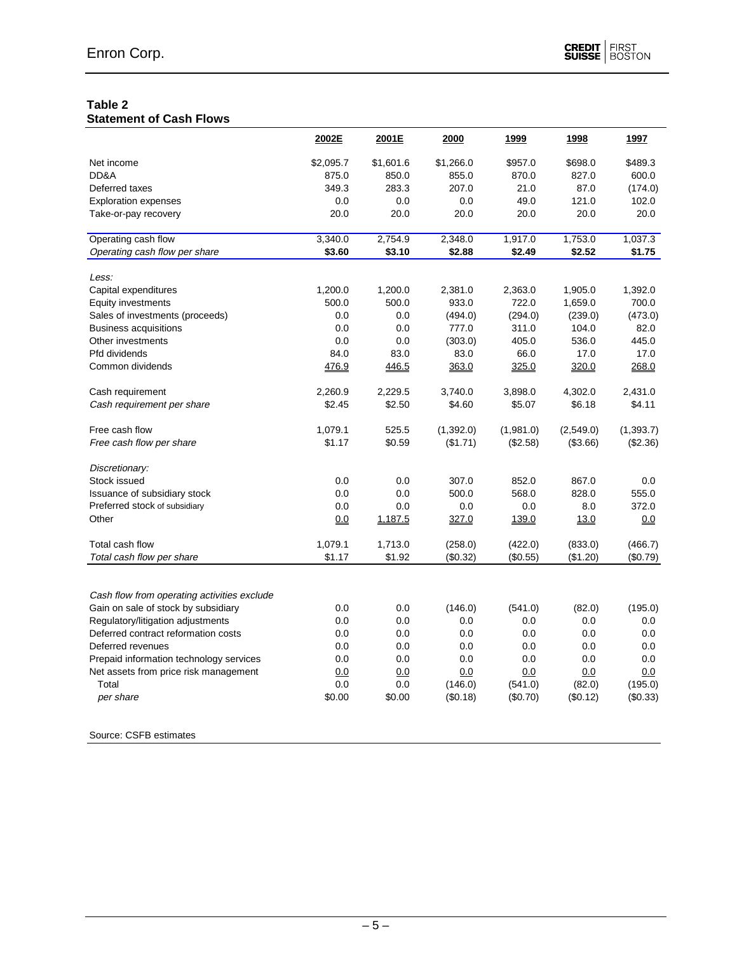## **Table 2**

|                                             | 2002E     | 2001E     | 2000      | 1999      | 1998      | 1997       |
|---------------------------------------------|-----------|-----------|-----------|-----------|-----------|------------|
| Net income                                  | \$2,095.7 | \$1,601.6 | \$1,266.0 | \$957.0   | \$698.0   | \$489.3    |
| DD&A                                        | 875.0     | 850.0     | 855.0     | 870.0     | 827.0     | 600.0      |
| Deferred taxes                              | 349.3     | 283.3     | 207.0     | 21.0      | 87.0      | (174.0)    |
| <b>Exploration expenses</b>                 | 0.0       | 0.0       | 0.0       | 49.0      | 121.0     | 102.0      |
| Take-or-pay recovery                        | 20.0      | 20.0      | 20.0      | 20.0      | 20.0      | 20.0       |
| Operating cash flow                         | 3,340.0   | 2,754.9   | 2,348.0   | 1,917.0   | 1,753.0   | 1,037.3    |
| Operating cash flow per share               | \$3.60    | \$3.10    | \$2.88    | \$2.49    | \$2.52    | \$1.75     |
| Less:                                       |           |           |           |           |           |            |
| Capital expenditures                        | 1,200.0   | 1,200.0   | 2,381.0   | 2,363.0   | 1,905.0   | 1,392.0    |
| <b>Equity investments</b>                   | 500.0     | 500.0     | 933.0     | 722.0     | 1,659.0   | 700.0      |
| Sales of investments (proceeds)             | 0.0       | 0.0       | (494.0)   | (294.0)   | (239.0)   | (473.0)    |
| <b>Business acquisitions</b>                | 0.0       | 0.0       | 777.0     | 311.0     | 104.0     | 82.0       |
| Other investments                           | 0.0       | 0.0       | (303.0)   | 405.0     | 536.0     | 445.0      |
| Pfd dividends                               | 84.0      | 83.0      | 83.0      | 66.0      | 17.0      | 17.0       |
| Common dividends                            | 476.9     | 446.5     | 363.0     | 325.0     | 320.0     | 268.0      |
|                                             |           |           |           |           |           |            |
| Cash requirement                            | 2.260.9   | 2,229.5   | 3.740.0   | 3,898.0   | 4,302.0   | 2,431.0    |
| Cash requirement per share                  | \$2.45    | \$2.50    | \$4.60    | \$5.07    | \$6.18    | \$4.11     |
| Free cash flow                              | 1,079.1   | 525.5     | (1,392.0) | (1,981.0) | (2,549.0) | (1, 393.7) |
| Free cash flow per share                    | \$1.17    | \$0.59    | (\$1.71)  | (\$2.58)  | (\$3.66)  | (\$2.36)   |
| Discretionary:                              |           |           |           |           |           |            |
| Stock issued                                | 0.0       | 0.0       | 307.0     | 852.0     | 867.0     | 0.0        |
| Issuance of subsidiary stock                | 0.0       | 0.0       | 500.0     | 568.0     | 828.0     | 555.0      |
| Preferred stock of subsidiary               | 0.0       | 0.0       | 0.0       | 0.0       | 8.0       | 372.0      |
| Other                                       | 0.0       | 1,187.5   | 327.0     | 139.0     | 13.0      | 0.0        |
| Total cash flow                             | 1,079.1   | 1,713.0   | (258.0)   | (422.0)   | (833.0)   | (466.7)    |
| Total cash flow per share                   | \$1.17    | \$1.92    | (\$0.32)  | (\$0.55)  | (\$1.20)  | (\$0.79)   |
|                                             |           |           |           |           |           |            |
| Cash flow from operating activities exclude |           |           |           |           |           |            |
| Gain on sale of stock by subsidiary         | 0.0       | 0.0       | (146.0)   | (541.0)   | (82.0)    | (195.0)    |
| Regulatory/litigation adjustments           | 0.0       | 0.0       | 0.0       | 0.0       | 0.0       | 0.0        |
| Deferred contract reformation costs         | 0.0       | 0.0       | 0.0       | 0.0       | 0.0       | 0.0        |
| Deferred revenues                           | 0.0       | 0.0       | 0.0       | 0.0       | 0.0       | 0.0        |
| Prepaid information technology services     | 0.0       | 0.0       | 0.0       | 0.0       | 0.0       | 0.0        |
| Net assets from price risk management       | 0.0       | 0.0       | 0.0       | 0.0       | 0.0       | 0.0        |
| Total                                       | 0.0       | 0.0       | (146.0)   | (541.0)   | (82.0)    | (195.0)    |
| per share                                   | \$0.00    | \$0.00    | (\$0.18)  | (\$0.70)  | (\$0.12)  | (\$0.33)   |
|                                             |           |           |           |           |           |            |

Source: CSFB estimates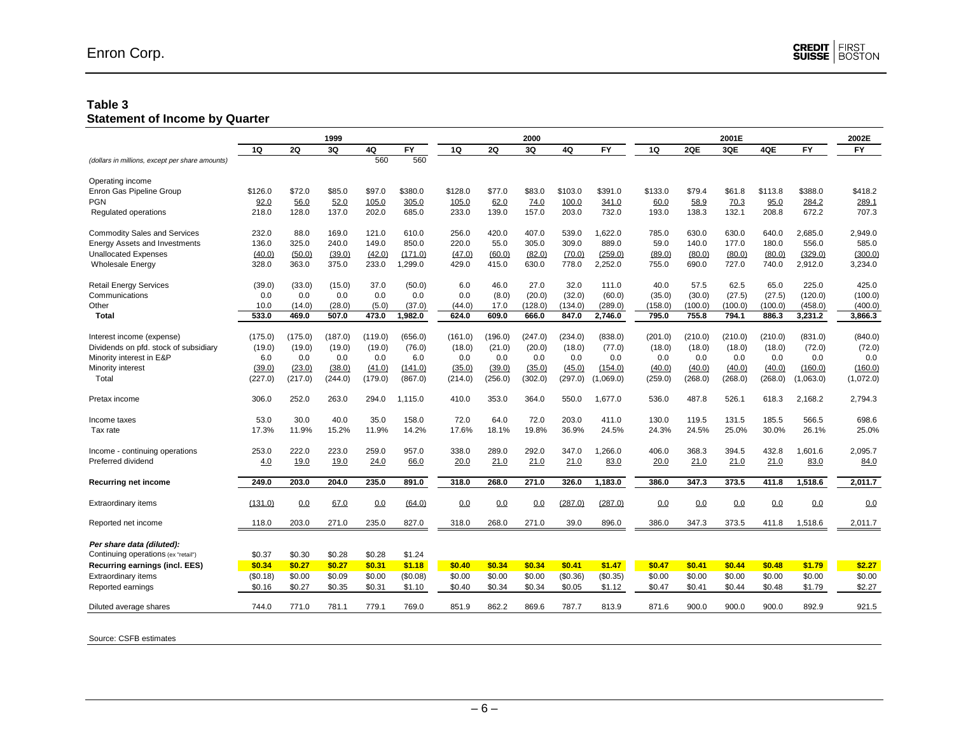#### **Table 3 Statement of Income by Quarter**

|                                                 | 1999     |         |         |         | 2000      |           |           |         | 2001E    |           |         |         |         | 2002E   |           |           |
|-------------------------------------------------|----------|---------|---------|---------|-----------|-----------|-----------|---------|----------|-----------|---------|---------|---------|---------|-----------|-----------|
|                                                 | 1Q       | 2Q      | 3Q      | 4Q      | <b>FY</b> | <b>1Q</b> | <b>2Q</b> | 3Q      | 4Q       | <b>FY</b> | 1Q      | 2QE     | 3QE     | 4QE     | FY        | <b>FY</b> |
| (dollars in millions, except per share amounts) |          |         |         | 560     | 560       |           |           |         |          |           |         |         |         |         |           |           |
| Operating income                                |          |         |         |         |           |           |           |         |          |           |         |         |         |         |           |           |
| Enron Gas Pipeline Group                        | \$126.0  | \$72.0  | \$85.0  | \$97.0  | \$380.0   | \$128.0   | \$77.0    | \$83.0  | \$103.0  | \$391.0   | \$133.0 | \$79.4  | \$61.8  | \$113.8 | \$388.0   | \$418.2   |
| <b>PGN</b>                                      | 92.0     | 56.0    | 52.0    | 105.0   | 305.0     | 105.0     | 62.0      | 74.0    | 100.0    | 341.0     | 60.0    | 58.9    | 70.3    | 95.0    | 284.2     | 289.1     |
| Regulated operations                            | 218.0    | 128.0   | 137.0   | 202.0   | 685.0     | 233.0     | 139.0     | 157.0   | 203.0    | 732.0     | 193.0   | 138.3   | 132.1   | 208.8   | 672.2     | 707.3     |
| <b>Commodity Sales and Services</b>             | 232.0    | 88.0    | 169.0   | 121.0   | 610.0     | 256.0     | 420.0     | 407.0   | 539.0    | 1.622.0   | 785.0   | 630.0   | 630.0   | 640.0   | 2.685.0   | 2,949.0   |
| <b>Energy Assets and Investments</b>            | 136.0    | 325.0   | 240.0   | 149.0   | 850.0     | 220.0     | 55.0      | 305.0   | 309.0    | 889.0     | 59.0    | 140.0   | 177.0   | 180.0   | 556.0     | 585.0     |
| <b>Unallocated Expenses</b>                     | (40.0)   | (50.0)  | (39.0)  | (42.0)  | (171.0)   | (47.0)    | (60.0)    | (82.0)  | (70.0)   | (259.0)   | (89.0)  | (80.0)  | (80.0)  | (80.0)  | (329.0)   | (300.0)   |
| <b>Wholesale Energy</b>                         | 328.0    | 363.0   | 375.0   | 233.0   | ,299.0    | 429.0     | 415.0     | 630.0   | 778.0    | 2,252.0   | 755.0   | 690.0   | 727.0   | 740.0   | 2,912.0   | 3,234.0   |
| <b>Retail Energy Services</b>                   | (39.0)   | (33.0)  | (15.0)  | 37.0    | (50.0)    | 6.0       | 46.0      | 27.0    | 32.0     | 111.0     | 40.0    | 57.5    | 62.5    | 65.0    | 225.0     | 425.0     |
| Communications                                  | 0.0      | 0.0     | 0.0     | 0.0     | 0.0       | 0.0       | (8.0)     | (20.0)  | (32.0)   | (60.0)    | (35.0)  | (30.0)  | (27.5)  | (27.5)  | (120.0)   | (100.0)   |
| Other                                           | 10.0     | (14.0)  | (28.0)  | (5.0)   | (37.0)    | (44.0)    | 17.0      | (128.0) | (134.0)  | (289.0)   | (158.0) | (100.0) | (100.0) | (100.0) | (458.0)   | (400.0)   |
| Total                                           | 533.0    | 469.0   | 507.0   | 473.0   | 1,982.0   | 624.0     | 609.0     | 666.0   | 847.0    | 2,746.0   | 795.0   | 755.8   | 794.1   | 886.3   | 3,231.2   | 3,866.3   |
|                                                 |          |         |         |         |           |           |           |         |          |           |         |         |         |         |           |           |
| Interest income (expense)                       | (175.0)  | (175.0) | (187.0) | (119.0) | (656.0)   | (161.0)   | (196.0)   | (247.0) | (234.0)  | (838.0)   | (201.0) | (210.0) | (210.0) | (210.0) | (831.0)   | (840.0)   |
| Dividends on pfd. stock of subsidiary           | (19.0)   | (19.0)  | (19.0)  | (19.0)  | (76.0)    | (18.0)    | (21.0)    | (20.0)  | (18.0)   | (77.0)    | (18.0)  | (18.0)  | (18.0)  | (18.0)  | (72.0)    | (72.0)    |
| Minority interest in E&P                        | 6.0      | 0.0     | 0.0     | 0.0     | 6.0       | 0.0       | 0.0       | 0.0     | 0.0      | 0.0       | 0.0     | 0.0     | 0.0     | 0.0     | 0.0       | 0.0       |
| Minority interest                               | (39.0)   | (23.0)  | (38.0)  | (41.0)  | (141.0)   | (35.0)    | (39.0)    | (35.0)  | (45.0)   | (154.0)   | (40.0)  | (40.0)  | (40.0)  | (40.0)  | (160.0)   | (160.0)   |
| Total                                           | (227.0)  | (217.0) | (244.0) | (179.0) | (867.0)   | (214.0)   | (256.0)   | (302.0) | (297.0)  | (1,069.0) | (259.0) | (268.0) | (268.0) | (268.0) | (1,063.0) | (1,072.0) |
| Pretax income                                   | 306.0    | 252.0   | 263.0   | 294.0   | 1,115.0   | 410.0     | 353.0     | 364.0   | 550.0    | 1.677.0   | 536.0   | 487.8   | 526.1   | 618.3   | 2.168.2   | 2,794.3   |
| Income taxes                                    | 53.0     | 30.0    | 40.0    | 35.0    | 158.0     | 72.0      | 64.0      | 72.0    | 203.0    | 411.0     | 130.0   | 119.5   | 131.5   | 185.5   | 566.5     | 698.6     |
| Tax rate                                        | 17.3%    | 11.9%   | 15.2%   | 11.9%   | 14.2%     | 17.6%     | 18.1%     | 19.8%   | 36.9%    | 24.5%     | 24.3%   | 24.5%   | 25.0%   | 30.0%   | 26.1%     | 25.0%     |
| Income - continuing operations                  | 253.0    | 222.0   | 223.0   | 259.0   | 957.0     | 338.0     | 289.0     | 292.0   | 347.0    | 1,266.0   | 406.0   | 368.3   | 394.5   | 432.8   | 1,601.6   | 2,095.7   |
| Preferred dividend                              | 4.0      | 19.0    | 19.0    | 24.0    | 66.0      | 20.0      | 21.0      | 21.0    | 21.0     | 83.0      | 20.0    | 21.0    | 21.0    | 21.0    | 83.0      | 84.0      |
| <b>Recurring net income</b>                     | 249.0    | 203.0   | 204.0   | 235.0   | 891.0     | 318.0     | 268.0     | 271.0   | 326.0    | 1,183.0   | 386.0   | 347.3   | 373.5   | 411.8   | 1,518.6   | 2,011.7   |
| <b>Extraordinary items</b>                      | (131.0)  | 0.0     | 67.0    | 0.0     | (64.0)    | 0.0       | 0.0       | 0.0     | (287.0)  | (287.0)   | 0.0     | 0.0     | 0.0     | 0.0     | 0.0       | 0.0       |
| Reported net income                             | 118.0    | 203.0   | 271.0   | 235.0   | 827.0     | 318.0     | 268.0     | 271.0   | 39.0     | 896.0     | 386.0   | 347.3   | 373.5   | 411.8   | 1,518.6   | 2,011.7   |
| Per share data (diluted):                       |          |         |         |         |           |           |           |         |          |           |         |         |         |         |           |           |
| Continuing operations (ex "retail")             | \$0.37   | \$0.30  | \$0.28  | \$0.28  | \$1.24    |           |           |         |          |           |         |         |         |         |           |           |
| Recurring earnings (incl. EES)                  | \$0.34   | \$0.27  | \$0.27  | \$0.31  | \$1.18    | \$0.40    | \$0.34    | \$0.34  | \$0.41   | \$1.47    | \$0.47  | \$0.41  | \$0.44  | \$0.48  | \$1.79    | \$2.27    |
| Extraordinary items                             | (\$0.18) | \$0.00  | \$0.09  | \$0.00  | (\$0.08)  | \$0.00    | \$0.00    | \$0.00  | (\$0.36) | (\$0.35)  | \$0.00  | \$0.00  | \$0.00  | \$0.00  | \$0.00    | \$0.00    |
| Reported earnings                               | \$0.16   | \$0.27  | \$0.35  | \$0.31  | \$1.10    | \$0.40    | \$0.34    | \$0.34  | \$0.05   | \$1.12    | \$0.47  | \$0.41  | \$0.44  | \$0.48  | \$1.79    | \$2.27    |
| Diluted average shares                          | 744.0    | 771.0   | 781.1   | 779.1   | 769.0     | 851.9     | 862.2     | 869.6   | 787.7    | 813.9     | 871.6   | 900.0   | 900.0   | 900.0   | 892.9     | 921.5     |
|                                                 |          |         |         |         |           |           |           |         |          |           |         |         |         |         |           |           |

Source: CSFB estimates